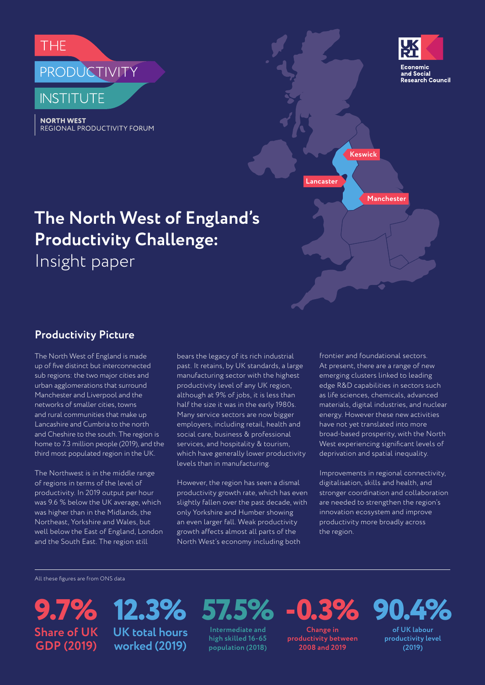

**NORTH WEST REGIONAL PRODUCTIVITY FORUM** 



**Keswick**

**Manchester**

**Lancaster**

# **The North West of England's Productivity Challenge:**

Insight paper

## **Productivity Picture**

The North West of England is made up of five distinct but interconnected sub regions: the two major cities and urban agglomerations that surround Manchester and Liverpool and the networks of smaller cities, towns and rural communities that make up Lancashire and Cumbria to the north and Cheshire to the south. The region is home to 7.3 million people (2019), and the third most populated region in the UK.

The Northwest is in the middle range of regions in terms of the level of productivity. In 2019 output per hour was 9.6 % below the UK average, which was higher than in the Midlands, the Northeast, Yorkshire and Wales, but well below the East of England, London and the South East. The region still

bears the legacy of its rich industrial past. It retains, by UK standards, a large manufacturing sector with the highest productivity level of any UK region, although at 9% of jobs, it is less than half the size it was in the early 1980s. Many service sectors are now bigger employers, including retail, health and social care, business & professional services, and hospitality & tourism, which have generally lower productivity levels than in manufacturing.

However, the region has seen a dismal productivity growth rate, which has even slightly fallen over the past decade, with only Yorkshire and Humber showing an even larger fall. Weak productivity growth affects almost all parts of the North West's economy including both

frontier and foundational sectors. At present, there are a range of new emerging clusters linked to leading edge R&D capabilities in sectors such as life sciences, chemicals, advanced materials, digital industries, and nuclear energy. However these new activities have not yet translated into more broad-based prosperity, with the North West experiencing significant levels of deprivation and spatial inequality.

Improvements in regional connectivity, digitalisation, skills and health, and stronger coordination and collaboration are needed to strengthen the region's innovation ecosystem and improve productivity more broadly across the region.

All these figures are from ONS data

**9.7% 57.5% 12.3% Share of UK GDP (2019)**

**UK total hours worked (2019)**

**Intermediate and high skilled 16-65 population (2018)**

**Change in productivity between 2008 and 2019**

**-0.3%**

**90.4%**

**of UK labour productivity level (2019)**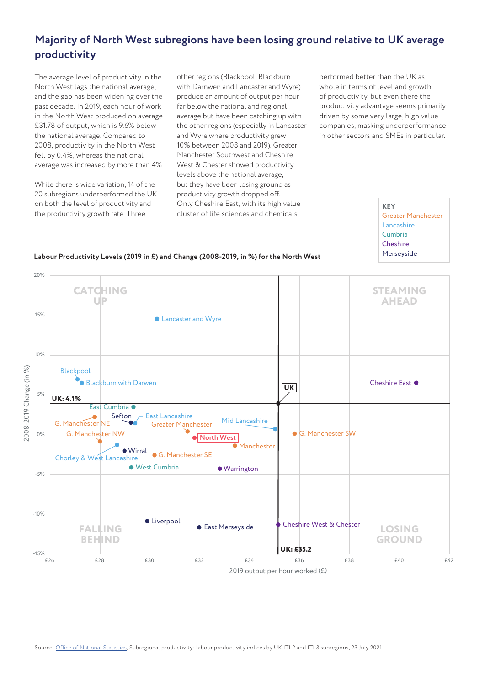## **Majority of North West subregions have been losing ground relative to UK average productivity**

The average level of productivity in the North West lags the national average, and the gap has been widening over the past decade. In 2019, each hour of work in the North West produced on average £31.78 of output, which is 9.6% below the national average. Compared to 2008, productivity in the North West fell by 0.4%, whereas the national average was increased by more than 4%.

While there is wide variation, 14 of the 20 subregions underperformed the UK on both the level of productivity and the productivity growth rate. Three

other regions (Blackpool, Blackburn with Darnwen and Lancaster and Wyre) produce an amount of output per hour far below the national and regional average but have been catching up with the other regions (especially in Lancaster and Wyre where productivity grew 10% between 2008 and 2019). Greater Manchester Southwest and Cheshire West & Chester showed productivity levels above the national average, but they have been losing ground as productivity growth dropped off. Only Cheshire East, with its high value cluster of life sciences and chemicals,

performed better than the UK as whole in terms of level and growth of productivity, but even there the productivity advantage seems primarily driven by some very large, high value companies, masking underperformance in other sectors and SMEs in particular.

> **KEY** Greater Manchester Lancashire Cumbria **Cheshire** Merseyside



**Labour Productivity Levels (2019 in £) and Change (2008-2019, in %) for the North West**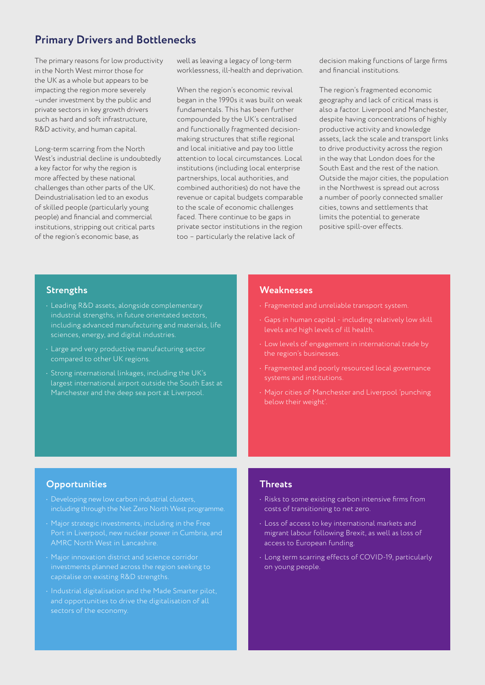## **Primary Drivers and Bottlenecks**

The primary reasons for low productivity in the North West mirror those for the UK as a whole but appears to be impacting the region more severely –under investment by the public and private sectors in key growth drivers such as hard and soft infrastructure, R&D activity, and human capital.

Long-term scarring from the North West's industrial decline is undoubtedly a key factor for why the region is more affected by these national challenges than other parts of the UK. Deindustrialisation led to an exodus of skilled people (particularly young people) and financial and commercial institutions, stripping out critical parts of the region's economic base, as

well as leaving a legacy of long-term worklessness, ill-health and deprivation.

When the region's economic revival began in the 1990s it was built on weak fundamentals. This has been further compounded by the UK's centralised and functionally fragmented decisionmaking structures that stifle regional and local initiative and pay too little attention to local circumstances. Local institutions (including local enterprise partnerships, local authorities, and combined authorities) do not have the revenue or capital budgets comparable to the scale of economic challenges faced. There continue to be gaps in private sector institutions in the region too – particularly the relative lack of

decision making functions of large firms and financial institutions.

The region's fragmented economic geography and lack of critical mass is also a factor. Liverpool and Manchester, despite having concentrations of highly productive activity and knowledge assets, lack the scale and transport links to drive productivity across the region in the way that London does for the South East and the rest of the nation. Outside the major cities, the population in the Northwest is spread out across a number of poorly connected smaller cities, towns and settlements that limits the potential to generate positive spill-over effects.

#### **Strengths**

- Leading R&D assets, alongside complementary industrial strengths, in future orientated sectors, including advanced manufacturing and materials, life sciences, energy, and digital industries.
- Large and very productive manufacturing sector compared to other UK regions.
- Strong international linkages, including the UK's largest international airport outside the South East at Manchester and the deep sea port at Liverpool.

#### **Weaknesses**

- Fragmented and unreliable transport system.
- Gaps in human capital including relatively low skill levels and high levels of ill health.
- Low levels of engagement in international trade by the region's businesses.
- Fragmented and poorly resourced local governance
- Major cities of Manchester and Liverpool 'punching below their weight'

#### **Opportunities**

- Developing new low carbon industrial clusters, including through the Net Zero North West programme.
- Major strategic investments, including in the Free AMRC North West in Lancashire.
- Major innovation district and science corridor investments planned across the region seeking to capitalise on existing R&D strengths.
- Industrial digitalisation and the Made Smarter pilot, and opportunities to drive the digitalisation of all

#### **Threats**

- Risks to some existing carbon intensive firms from costs of transitioning to net zero.
- Loss of access to key international markets and migrant labour following Brexit, as well as loss of access to European funding.
- Long term scarring effects of COVID-19, particularly on young people.